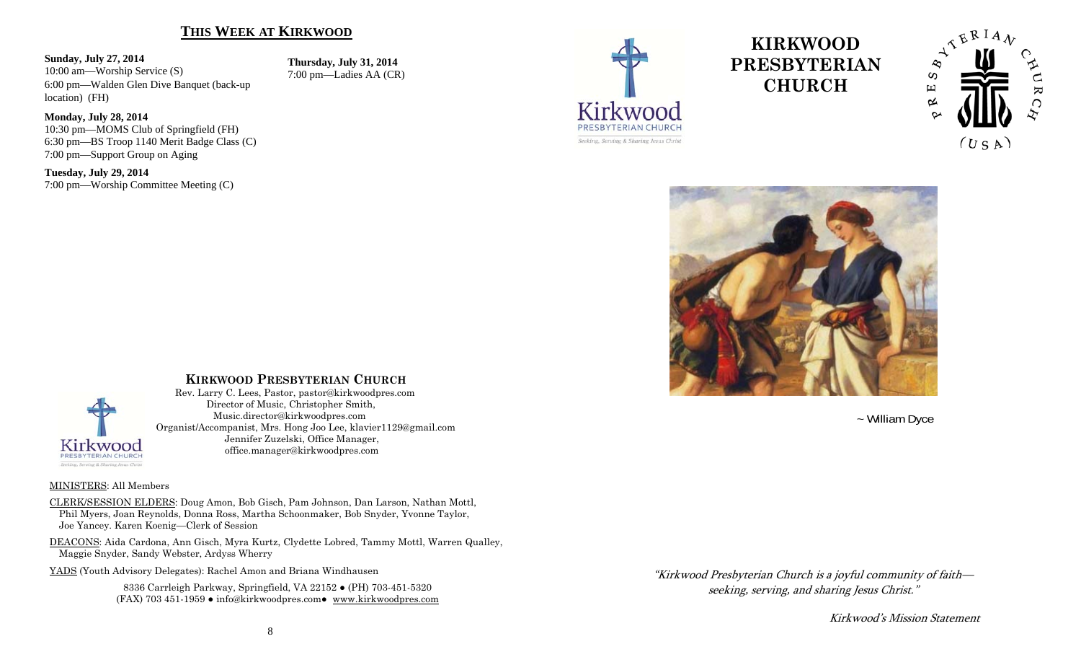## **THIS WEEK AT KIRKWOOD**

#### **Sunday, July 27, 2014**

**Monday, July 28, 2014** 

**Tuesday, July 29, 2014** 

10:00 am—Worship Service (S) 6:00 pm—Walden Glen Dive Banquet (back-up location) (FH)

10:30 pm—MOMS Club of Springfield (FH) 6:30 pm—BS Troop 1140 Merit Badge Class (C)

7:00 pm—Worship Committee Meeting (C)

7:00 pm—Support Group on Aging

**Thursday, July 31, 2014**  7:00 pm—Ladies AA (CR)



# **KIRKWOOD PRESBYTERIAN CHURCH**





~ William Dyce

"Kirkwood Presbyterian Church is a joyful community of faith—

seeking, serving, and sharing Jesus Christ."

Kirkwood's Mission Statement



## **KIRKWOOD PRESBYTERIAN CHURCH**

 Rev. Larry C. Lees, Pastor, pastor@kirkwoodpres.com Director of Music, Christopher Smith, Music.director@kirkwoodpres.com Organist/Accompanist, Mrs. Hong Joo Lee, klavier1129@gmail.com Jennifer Zuzelski, Office Manager, office.manager@kirkwoodpres.com

#### MINISTERS: All Members

CLERK/SESSION ELDERS: Doug Amon, Bob Gisch, Pam Johnson, Dan Larson, Nathan Mottl, Phil Myers, Joan Reynolds, Donna Ross, Martha Schoonmaker, Bob Snyder, Yvonne Taylor, Joe Yancey. Karen Koenig—Clerk of Session

DEACONS: Aida Cardona, Ann Gisch, Myra Kurtz, Clydette Lobred, Tammy Mottl, Warren Qualley, Maggie Snyder, Sandy Webster, Ardyss Wherry

YADS (Youth Advisory Delegates): Rachel Amon and Briana Windhausen

8336 Carrleigh Parkway, Springfield, VA 22152 ● (PH) 703-451-5320 (FAX) 703 451-1959 ● info@kirkwoodpres.com● www.kirkwoodpres.com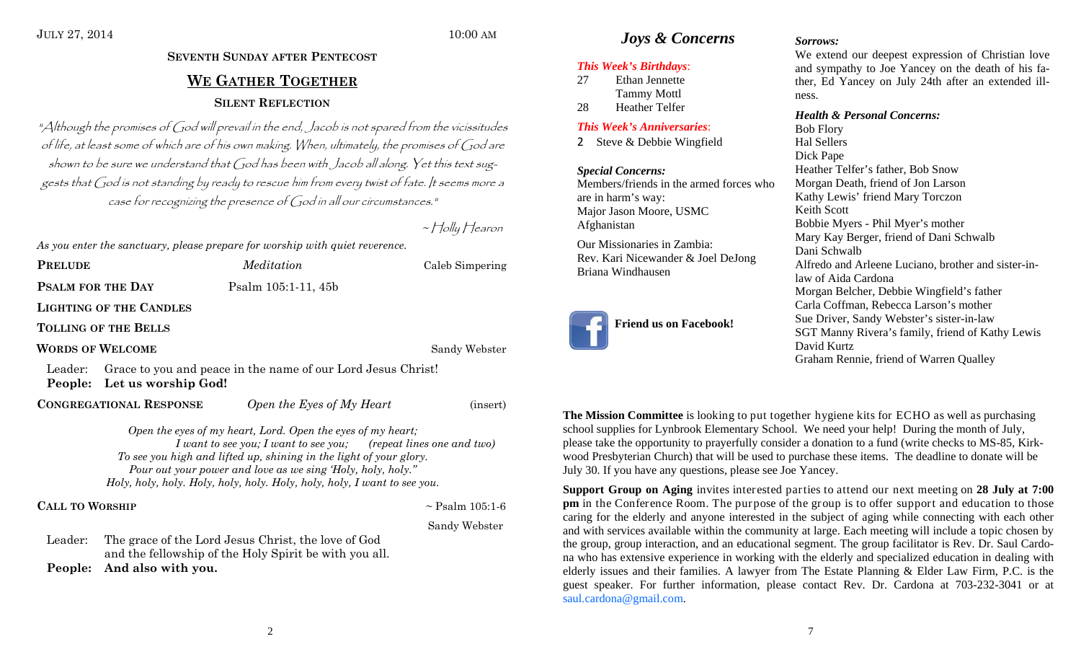## JULY 27, 2014 10:00 AM

## *Joys & Concerns* Sorrows:

### *This Week's Birthdays*:

27 Ethan Jennette Tammy Mottl 28 Heather Telfer

## *This Week's Anniversaries*:

2 Steve & Debbie Wingfield

*Special Concerns:*  Members/friends in the armed forces who are in harm's way: Major Jason Moore, USMC Afghanistan

Our Missionaries in Zambia: Rev. Kari Nicewander & Joel DeJong Briana Windhausen



We extend our deepest expression of Christian love and sympathy to Joe Yancey on the death of his father, Ed Yancey on July 24th after an extended illness.

### *Health & Personal Concerns:*

Bob Flory Hal Sellers Dick Pape Heather Telfer's father, Bob Snow Morgan Death, friend of Jon Larson Kathy Lewis' friend Mary Torczon Keith Scott Bobbie Myers - Phil Myer's mother Mary Kay Berger, friend of Dani Schwalb Dani Schwalb Alfredo and Arleene Luciano, brother and sister-inlaw of Aida Cardona Morgan Belcher, Debbie Wingfield's father Carla Coffman, Rebecca Larson's mother Sue Driver, Sandy Webster's sister-in-law SGT Manny Rivera's family, friend of Kathy Lewis David Kurtz Graham Rennie, friend of Warren Qualley

**The Mission Committee** is looking to put together hygiene kits for ECHO as well as purchasing school supplies for Lynbrook Elementary School. We need your help! During the month of July, please take the opportunity to prayerfully consider a donation to a fund (write checks to MS-85, Kirkwood Presbyterian Church) that will be used to purchase these items. The deadline to donate will be July 30. If you have any questions, please see Joe Yancey.

**Support Group on Aging** invites interested parties to attend our next meeting on **28 July at 7:00 pm** in the Conference Room. The purpose of the group is to offer support and education to those caring for the elderly and anyone interested in the subject of aging while connecting with each other and with services available within the community at large. Each meeting will include a topic chosen by the group, group interaction, and an educational segment. The group facilitator is Rev. Dr. Saul Cardona who has extensive experience in working with the elderly and specialized education in dealing with elderly issues and their families. A lawyer from The Estate Planning & Elder Law Firm, P.C. is the guest speaker. For further information, please contact Rev. Dr. Cardona at 703-232-3041 or at saul.cardona@gmail.com.

## **SEVENTH SUNDAY AFTER PENTECOST WE GATHER TOGETHERSILENT REFLECTION**

"Although the promises of God will prevail in the end, Jacob is not spared from the vicissitudes of life, at least some of which are of his own making. When, ultimately, the promises of God are shown to be sure we understand that God has been with Jacob all along. Yet this text suggests that God is not standing by ready to rescue him from every twist of fate. It seems more a case for recognizing the presence of God in all our circumstances."

**Psalm 105:1-11, 45b** 

~ Holly Hearon

*Meditation* Caleb Simpering

*As you enter the sanctuary, please prepare for worship with quiet reverence.* 

**PRELUDE**

**PSALM FOR THE DAY** 

**LIGHTING OF THE CANDLES**

**TOLLING OF THE BELLS**

**WORDS OF WELCOME**

Sandy Webster

Leader: Grace to you and peace in the name of our Lord Jesus Christ! **People: Let us worship God!** 

**CONGREGATIONAL RESPONSE**

*Open the Eyes of My Heart* (insert)

*Open the eyes of my heart, Lord. Open the eyes of my heart; I want to see you; I want to see you; (repeat lines one and two) To see you high and lifted up, shining in the light of your glory. Pour out your power and love as we sing 'Holy, holy, holy." Holy, holy, holy. Holy, holy, holy. Holy, holy, holy, I want to see you.* 

**CALL TO**

 $\sim$  Psalm 105:1-6

Sandy Webster

Leader: The grace of the Lord Jesus Christ, the love of God and the fellowship of the Holy Spirit be with you all. **People: And also with you.**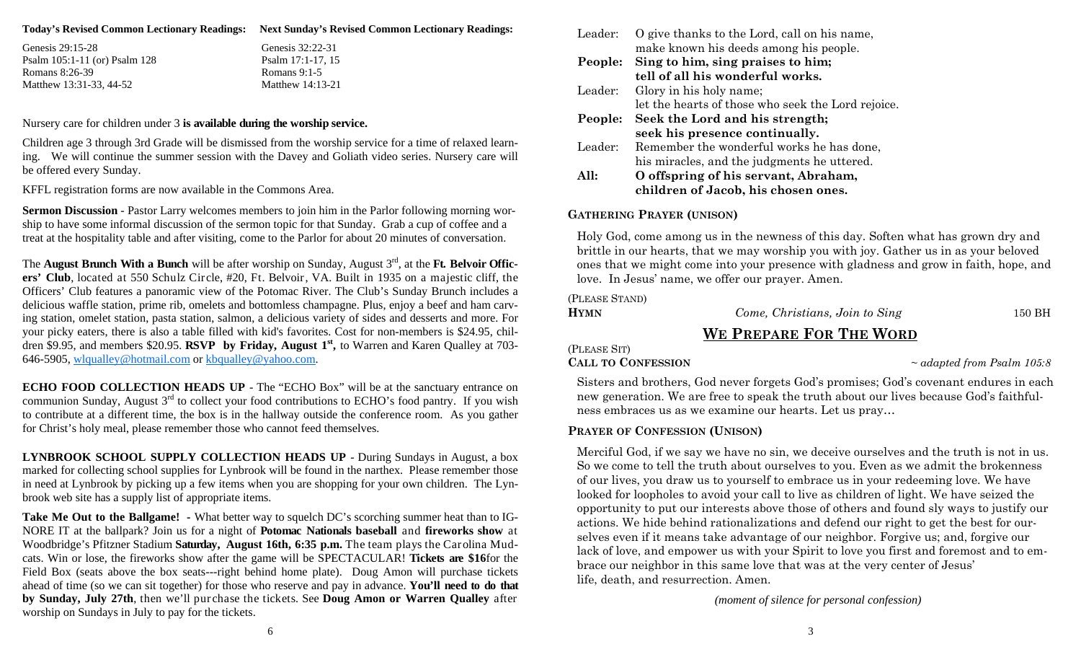|  | Today's Revised Common Lectionary Readings: Next Sunday's Revised Common Lectionary Readings: |
|--|-----------------------------------------------------------------------------------------------|
|--|-----------------------------------------------------------------------------------------------|

Genesis 29:15-28 Psalm 105:1-11 (or) Psalm 128 Romans 8:26-39 Matthew 13:31-33, 44-52

| Genesis 32:22-31  |
|-------------------|
| Psalm 17:1-17, 15 |
| Romans 9:1-5      |
| Matthew 14:13-21  |
|                   |

Nursery care for children under 3 **is available during the worship service.** 

Children age 3 through 3rd Grade will be dismissed from the worship service for a time of relaxed learning. We will continue the summer session with the Davey and Goliath video series. Nursery care will be offered every Sunday.

KFFL registration forms are now available in the Commons Area.

**Sermon Discussion** - Pastor Larry welcomes members to join him in the Parlor following morning worship to have some informal discussion of the sermon topic for that Sunday. Grab a cup of coffee and a treat at the hospitality table and after visiting, come to the Parlor for about 20 minutes of conversation.

The **August Brunch With a Bunch** will be after worship on Sunday, August 3<sup>rd</sup>, at the Ft. Belvoir Offic**ers' Club**, located at 550 Schulz Circle, #20, Ft. Belvoir, VA. Built in 1935 on a majestic cliff, the Officers' Club features a panoramic view of the Potomac River. The Club's Sunday Brunch includes a delicious waffle station, prime rib, omelets and bottomless champagne. Plus, enjoy a beef and ham carving station, omelet station, pasta station, salmon, a delicious variety of sides and desserts and more. For your picky eaters, there is also a table filled with kid's favorites. Cost for non-members is \$24.95, children \$9.95, and members \$20.95. **RSVP by Friday, August 1st,** to Warren and Karen Qualley at 703- 646-5905, wlqualley@hotmail.com or kbqualley@yahoo.com.

**ECHO FOOD COLLECTION HEADS UP - The "ECHO Box" will be at the sanctuary entrance on** communion Sunday, August 3<sup>rd</sup> to collect your food contributions to ECHO's food pantry. If you wish to contribute at a different time, the box is in the hallway outside the conference room. As you gather for Christ's holy meal, please remember those who cannot feed themselves.

**LYNBROOK SCHOOL SUPPLY COLLECTION HEADS UP** - During Sundays in August, a box marked for collecting school supplies for Lynbrook will be found in the narthex. Please remember those in need at Lynbrook by picking up a few items when you are shopping for your own children. The Lynbrook web site has a supply list of appropriate items.

**Take Me Out to the Ballgame! -** What better way to squelch DC's scorching summer heat than to IG-NORE IT at the ballpark? Join us for a night of **Potomac Nationals baseball** and **fireworks show** at Woodbridge's Pfitzner Stadium **Saturday, August 16th, 6:35 p.m.** The team plays the Carolina Mudcats. Win or lose, the fireworks show after the game will be SPECTACULAR! **Tickets are \$16**for the Field Box (seats above the box seats---right behind home plate). Doug Amon will purchase tickets ahead of time (so we can sit together) for those who reserve and pay in advance. **You'll need to do that by Sunday, July 27th**, then we'll purchase the tickets. See **Doug Amon or Warren Qualley** after worship on Sundays in July to pay for the tickets.

| Leader: | O give thanks to the Lord, call on his name,       |
|---------|----------------------------------------------------|
|         | make known his deeds among his people.             |
| People: | Sing to him, sing praises to him;                  |
|         | tell of all his wonderful works.                   |
| Leader: | Glory in his holy name;                            |
|         | let the hearts of those who seek the Lord rejoice. |
| People: | Seek the Lord and his strength;                    |
|         | seek his presence continually.                     |
| Leader: | Remember the wonderful works he has done,          |
|         | his miracles, and the judgments he uttered.        |
| All:    | O offspring of his servant, Abraham,               |
|         | children of Jacob, his chosen ones.                |

## **GATHERING PRAYER (UNISON)**

Holy God, come among us in the newness of this day. Soften what has grown dry and brittle in our hearts, that we may worship you with joy. Gather us in as your beloved ones that we might come into your presence with gladness and grow in faith, hope, and love. In Jesus' name, we offer our prayer. Amen.

(PLEASE STAND)

**HYMN**

*Come, Christians, Join to Sing* 150 BH

## **WE PREPARE FOR THE WORD**

## (PLEASE SIT)

## **CALL TO CONFESSION**

<sup>~</sup>*adapted from Psalm 105:8*

Sisters and brothers, God never forgets God's promises; God's covenant endures in each new generation. We are free to speak the truth about our lives because God's faithfulness embraces us as we examine our hearts. Let us pray…

## **PRAYER OF CONFESSION (UNISON)**

Merciful God, if we say we have no sin, we deceive ourselves and the truth is not in us. So we come to tell the truth about ourselves to you. Even as we admit the brokenness of our lives, you draw us to yourself to embrace us in your redeeming love. We have looked for loopholes to avoid your call to live as children of light. We have seized the opportunity to put our interests above those of others and found sly ways to justify our actions. We hide behind rationalizations and defend our right to get the best for ourselves even if it means take advantage of our neighbor. Forgive us; and, forgive our lack of love, and empower us with your Spirit to love you first and foremost and to embrace our neighbor in this same love that was at the very center of Jesus' life, death, and resurrection. Amen.

*(moment of silence for personal confession)*